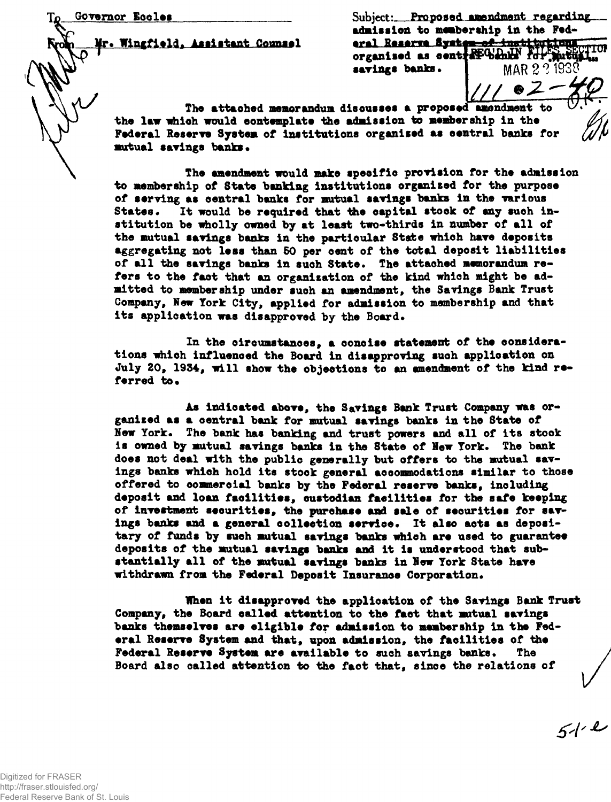**Mr\* Wlngflold, Assistant Counsel**

Governor Eccles **Subject:** Proposed amendment regarding. **admission to membership in the Fed-**<u>eral Reserve System of institutions</u> TUI organised as centile which for mutus MAR 2 ? 1938 savings banks.

**The attaohed memorandum disousses a proposed amendment to the law whioh would contemplate the admission to membership in the** Federal Reserve System of institutions organised as central banks for **mutual savings banks.** 

The amendment would make specific provision for the admission **to membership of State banking Institutions organised for the purpose of serving as oentral banks for mutual savings banks in the various States. It would be required that the capital stook of any such institution be wholly owned by at least two-thirds in number of all of the mutual savings banks in the particular State which have deposits aggregating not less than 50 per cent of the total deposit liabilities of all the savings banks in such State. The attaohed memorandum refers to the faot that an organisation of the kind which might be admitted to membership under suoh an amendment, the Savings Bank Trust Company, New York City, applied for admission to membership and that its application was disapproved by the Board.**

In the circumstances, a concise statement of the considera**tions whioh influenced the Board in disapproving suoh application on July 20, 1934, will show the objections to an amendment of the kind re**ferred to.

**As indloated above, the Savings Bank Trust Company was organised as a oentral bank for mutual savings banks in the State of New York. The bank has banking and trust powers and all of its stook is owned by mutual savings banks in the State of New York. The bank does not deal with the public generally but offers to the mutual savings banks whioh hold its stock general accommodations similar to those offered to commercial banks by the Federal reserve banks, including deposit and loan facilities, oustodian facilities for the safe keeping of investment securities, the purchase and sale of securities for savings banks and a general collection service. It also acts as depositary of funds by sueh mutual savings banks whioh are used to guarantee deposits of the mutual savings banks and it is understood that substantially all of the mutual savings banks in New York State have withdrawn from the Federal Deposit Insurance Corporation\***

**When it disapproved the application of the Savings Bank Trust Company, the Board ealled attention to the faot that mutual savings banks themselves are eligible for admission to membership in the Federal Reserve System and that, upon admission, the facilities of the Federal Reserve System are available to such savings banks. The Board also called attention to the fact that, since the relations of**

 $51 - 2$